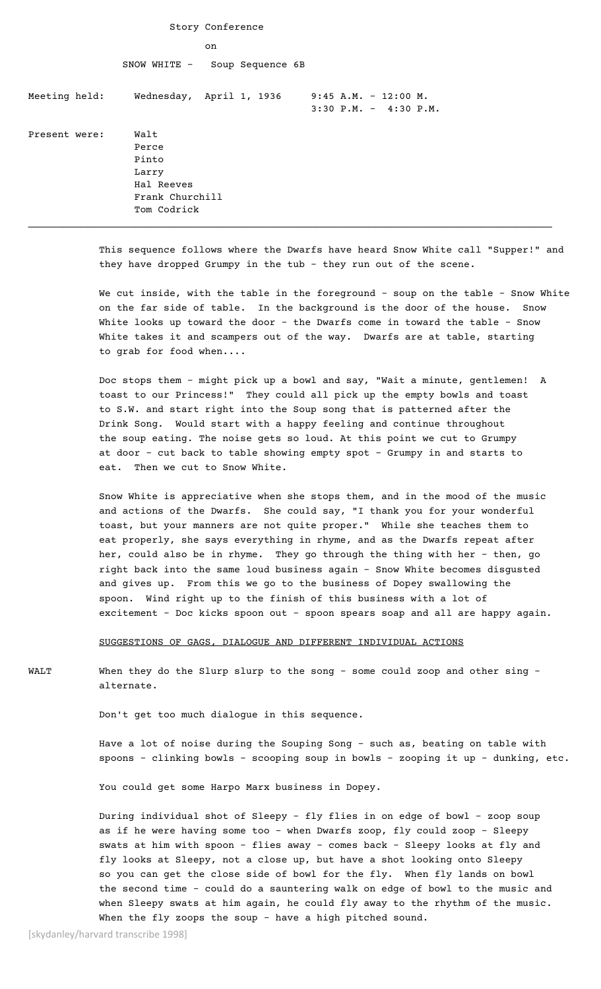| Soup Sequence 6B                                                                |
|---------------------------------------------------------------------------------|
| Wednesday, April 1, 1936<br>$9:45$ A.M. - 12:00 M.<br>$3:30$ P.M. - $4:30$ P.M. |
|                                                                                 |
|                                                                                 |

This sequence follows where the Dwarfs have heard Snow White call "Supper!" and they have dropped Grumpy in the tub - they run out of the scene.

We cut inside, with the table in the foreground - soup on the table - Snow White on the far side of table. In the background is the door of the house. Snow White looks up toward the door - the Dwarfs come in toward the table - Snow White takes it and scampers out of the way. Dwarfs are at table, starting to grab for food when....

Doc stops them - might pick up a bowl and say, "Wait a minute, gentlemen! A toast to our Princess!" They could all pick up the empty bowls and toast to S.W. and start right into the Soup song that is patterned after the Drink Song. Would start with a happy feeling and continue throughout the soup eating. The noise gets so loud. At this point we cut to Grumpy at door - cut back to table showing empty spot - Grumpy in and starts to eat. Then we cut to Snow White.

Snow White is appreciative when she stops them, and in the mood of the music and actions of the Dwarfs. She could say, "I thank you for your wonderful toast, but your manners are not quite proper." While she teaches them to eat properly, she says everything in rhyme, and as the Dwarfs repeat after her, could also be in rhyme. They go through the thing with her - then, go right back into the same loud business again - Snow White becomes disgusted and gives up. From this we go to the business of Dopey swallowing the spoon. Wind right up to the finish of this business with a lot of excitement - Doc kicks spoon out - spoon spears soap and all are happy again.

SUGGESTIONS OF GAGS, DIALOGUE AND DIFFERENT INDIVIDUAL ACTIONS

WALT When they do the Slurp slurp to the song - some could zoop and other sing alternate.

Don't get too much dialogue in this sequence.

Have a lot of noise during the Souping Song - such as, beating on table with spoons - clinking bowls - scooping soup in bowls - zooping it up - dunking, etc.

You could get some Harpo Marx business in Dopey.

During individual shot of Sleepy - fly flies in on edge of bowl - zoop soup as if he were having some too - when Dwarfs zoop, fly could zoop - Sleepy swats at him with spoon - flies away - comes back - Sleepy looks at fly and fly looks at Sleepy, not a close up, but have a shot looking onto Sleepy so you can get the close side of bowl for the fly. When fly lands on bowl the second time - could do a sauntering walk on edge of bowl to the music and when Sleepy swats at him again, he could fly away to the rhythm of the music. When the fly zoops the soup - have a high pitched sound.